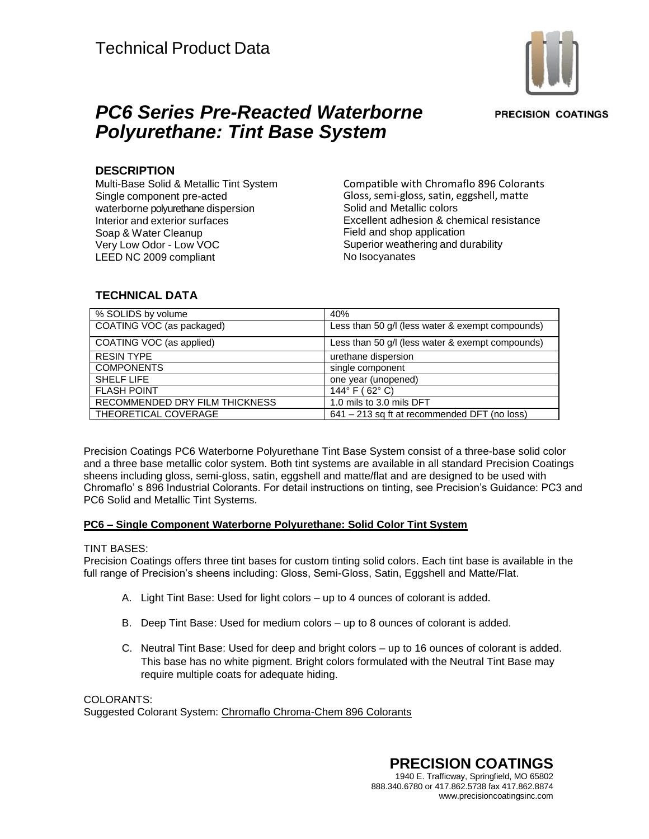

**PRECISION COATINGS** 

# *PC6 Series Pre-Reacted Waterborne Polyurethane: Tint Base System*

### **DESCRIPTION**

Multi-Base Solid & Metallic Tint System Single component pre-acted waterborne polyurethane dispersion Interior and exterior surfaces Soap & Water Cleanup Very Low Odor - Low VOC LEED NC 2009 compliant

Compatible with Chromaflo 896 Colorants Gloss, semi-gloss, satin, eggshell, matte Solid and Metallic colors Excellent adhesion & chemical resistance Field and shop application Superior weathering and durability No Isocyanates

# **TECHNICAL DATA**

| % SOLIDS by volume             | 40%                                              |
|--------------------------------|--------------------------------------------------|
| COATING VOC (as packaged)      | Less than 50 g/l (less water & exempt compounds) |
| COATING VOC (as applied)       | Less than 50 g/l (less water & exempt compounds) |
| <b>RESIN TYPE</b>              | urethane dispersion                              |
| <b>COMPONENTS</b>              | single component                                 |
| SHELF LIFE                     | one year (unopened)                              |
| <b>FLASH POINT</b>             | 144 $\degree$ F (62 $\degree$ C)                 |
| RECOMMENDED DRY FILM THICKNESS | 1.0 mils to 3.0 mils DFT                         |
| THEORETICAL COVERAGE           | 641 – 213 sq ft at recommended DFT (no loss)     |

and a three base metallic color system. Both thit systems are available in all standard in recision Oce<br>sheens including gloss, semi-gloss, satin, eggshell and matte/flat and are designed to be used with Precision Coatings PC6 Waterborne Polyurethane Tint Base System consist of a three-base solid color and a three base metallic color system. Both tint systems are available in all standard Precision Coatings Chromaflo' s 896 Industrial Colorants. For detail instructions on tinting, see Precision's Guidance: PC3 and PC6 Solid and Metallic Tint Systems.

#### 0 **PC6 – Single Component Waterborne Polyurethane: Solid Color Tint System**

#### TINT BASES:

Precision Coatings offers three tint bases for custom tinting solid colors. Each tint base is available in the full range of Precision's sheens including: Gloss, Semi-Gloss, Satin, Eggshell and Matte/Flat.

- A. Light Tint Base: Used for light colors up to 4 ounces of colorant is added.
- B. Deep Tint Base: Used for medium colors up to 8 ounces of colorant is added.
- C. Neutral Tint Base: Used for deep and bright colors up to 16 ounces of colorant is added. This base has no white pigment. Bright colors formulated with the Neutral Tint Base may require multiple coats for adequate hiding.

COLORANTS: Suggested Colorant System: Chromaflo Chroma-Chem 896 Colorants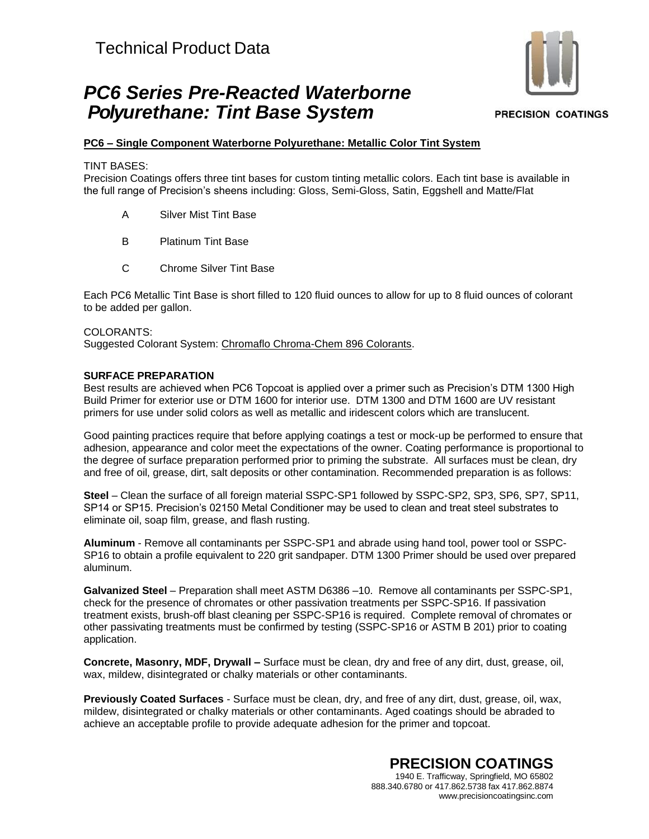# *PC6 Series Pre-Reacted Waterborne Polyurethane: Tint Base System*



#### **PRECISION COATINGS**

### **PC6 – Single Component Waterborne Polyurethane: Metallic Color Tint System**

TINT BASES:

Precision Coatings offers three tint bases for custom tinting metallic colors. Each tint base is available in the full range of Precision's sheens including: Gloss, Semi-Gloss, Satin, Eggshell and Matte/Flat

- A Silver Mist Tint Base
- B Platinum Tint Base
- C Chrome Silver Tint Base

Each PC6 Metallic Tint Base is short filled to 120 fluid ounces to allow for up to 8 fluid ounces of colorant to be added per gallon.

#### COLORANTS:

Suggested Colorant System: Chromaflo Chroma-Chem 896 Colorants.

#### **SURFACE PREPARATION**

Best results are achieved when PC6 Topcoat is applied over a primer such as Precision's DTM 1300 High Build Primer for exterior use or DTM 1600 for interior use. DTM 1300 and DTM 1600 are UV resistant primers for use under solid colors as well as metallic and iridescent colors which are translucent.

Good painting practices require that before applying coatings a test or mock-up be performed to ensure that adhesion, appearance and color meet the expectations of the owner. Coating performance is proportional to the degree of surface preparation performed prior to priming the substrate. All surfaces must be clean, dry and free of oil, grease, dirt, salt deposits or other contamination. Recommended preparation is as follows:

**Steel** – Clean the surface of all foreign material SSPC-SP1 followed by SSPC-SP2, SP3, SP6, SP7, SP11, SP14 or SP15. Precision's 02150 Metal Conditioner may be used to clean and treat steel substrates to eliminate oil, soap film, grease, and flash rusting.

**Aluminum** - Remove all contaminants per SSPC-SP1 and abrade using hand tool, power tool or SSPC-SP16 to obtain a profile equivalent to 220 grit sandpaper. DTM 1300 Primer should be used over prepared aluminum.

**Galvanized Steel** – Preparation shall meet ASTM D6386 –10. Remove all contaminants per SSPC-SP1, check for the presence of chromates or other passivation treatments per SSPC-SP16. If passivation treatment exists, brush-off blast cleaning per SSPC-SP16 is required. Complete removal of chromates or other passivating treatments must be confirmed by testing (SSPC-SP16 or ASTM B 201) prior to coating application.

**Concrete, Masonry, MDF, Drywall –** Surface must be clean, dry and free of any dirt, dust, grease, oil, wax, mildew, disintegrated or chalky materials or other contaminants.

**Previously Coated Surfaces** - Surface must be clean, dry, and free of any dirt, dust, grease, oil, wax, mildew, disintegrated or chalky materials or other contaminants. Aged coatings should be abraded to achieve an acceptable profile to provide adequate adhesion for the primer and topcoat.

> **PRECISION COATINGS** 1940 E. Trafficway, Springfield, MO 65802 888.340.6780 or 417.862.5738 fax 417.862.8874 [www.precisioncoatingsinc.com](http://www.precisioncoatingsinc.com/)